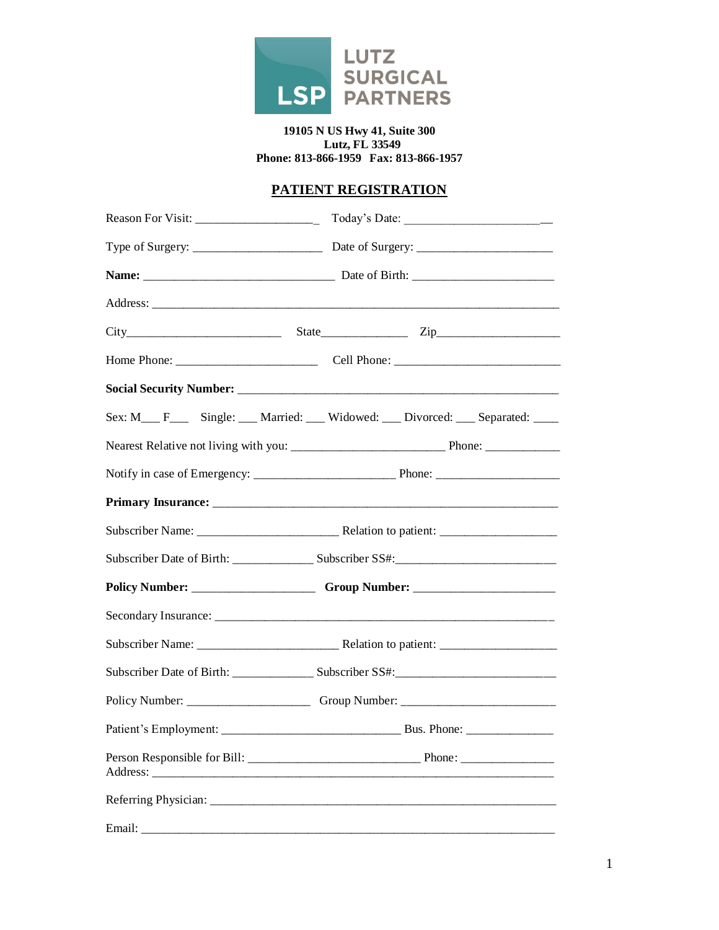

#### **19105 N US Hwy 41, Suite 300 Lutz, FL 33549 Phone: 813-866-1959 Fax: 813-866-1957**

# **PATIENT REGISTRATION**

| Sex: M__ F___ Single: __ Married: __ Widowed: __ Divorced: __ Separated: ___ |
|------------------------------------------------------------------------------|
|                                                                              |
|                                                                              |
|                                                                              |
|                                                                              |
|                                                                              |
|                                                                              |
|                                                                              |
|                                                                              |
|                                                                              |
|                                                                              |
|                                                                              |
|                                                                              |
|                                                                              |
|                                                                              |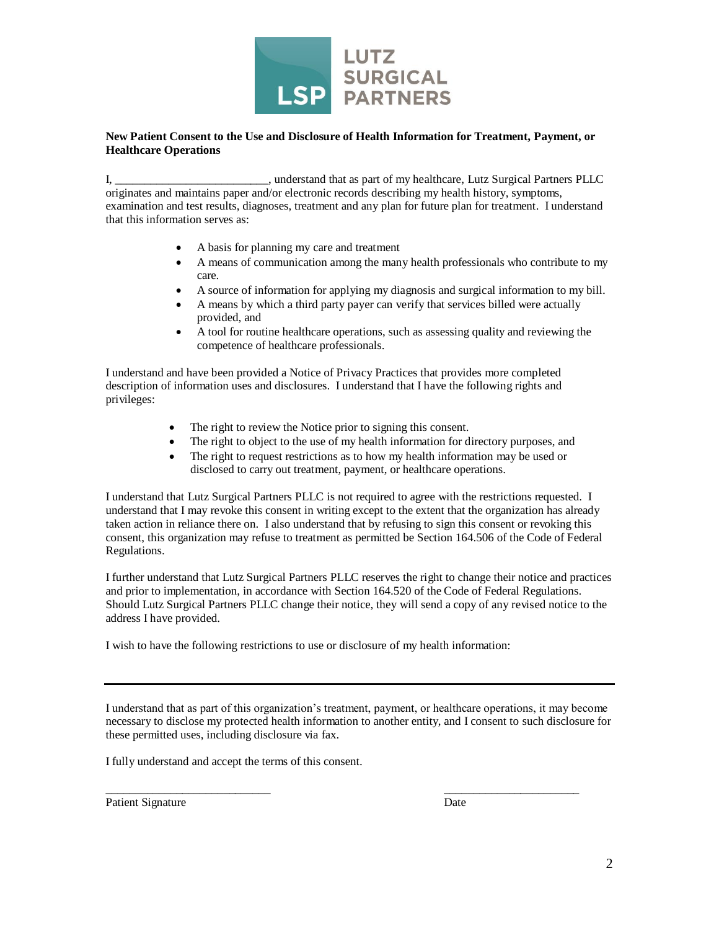

#### **New Patient Consent to the Use and Disclosure of Health Information for Treatment, Payment, or Healthcare Operations**

I, a contract that as part of my healthcare, Lutz Surgical Partners PLLC originates and maintains paper and/or electronic records describing my health history, symptoms, examination and test results, diagnoses, treatment and any plan for future plan for treatment. I understand that this information serves as:

- A basis for planning my care and treatment
- A means of communication among the many health professionals who contribute to my care.
- A source of information for applying my diagnosis and surgical information to my bill.
- A means by which a third party payer can verify that services billed were actually provided, and
- A tool for routine healthcare operations, such as assessing quality and reviewing the competence of healthcare professionals.

I understand and have been provided a Notice of Privacy Practices that provides more completed description of information uses and disclosures. I understand that I have the following rights and privileges:

- The right to review the Notice prior to signing this consent.
- The right to object to the use of my health information for directory purposes, and
- The right to request restrictions as to how my health information may be used or disclosed to carry out treatment, payment, or healthcare operations.

I understand that Lutz Surgical Partners PLLC is not required to agree with the restrictions requested. I understand that I may revoke this consent in writing except to the extent that the organization has already taken action in reliance there on. I also understand that by refusing to sign this consent or revoking this consent, this organization may refuse to treatment as permitted be Section 164.506 of the Code of Federal Regulations.

I further understand that Lutz Surgical Partners PLLC reserves the right to change their notice and practices and prior to implementation, in accordance with Section 164.520 of the Code of Federal Regulations. Should Lutz Surgical Partners PLLC change their notice, they will send a copy of any revised notice to the address I have provided.

I wish to have the following restrictions to use or disclosure of my health information:

I understand that as part of this organization's treatment, payment, or healthcare operations, it may become necessary to disclose my protected health information to another entity, and I consent to such disclosure for these permitted uses, including disclosure via fax.

 $\frac{1}{2}$  ,  $\frac{1}{2}$  ,  $\frac{1}{2}$  ,  $\frac{1}{2}$  ,  $\frac{1}{2}$  ,  $\frac{1}{2}$  ,  $\frac{1}{2}$  ,  $\frac{1}{2}$  ,  $\frac{1}{2}$  ,  $\frac{1}{2}$  ,  $\frac{1}{2}$  ,  $\frac{1}{2}$  ,  $\frac{1}{2}$  ,  $\frac{1}{2}$  ,  $\frac{1}{2}$  ,  $\frac{1}{2}$  ,  $\frac{1}{2}$  ,  $\frac{1}{2}$  ,  $\frac{1$ 

I fully understand and accept the terms of this consent.

Patient Signature Date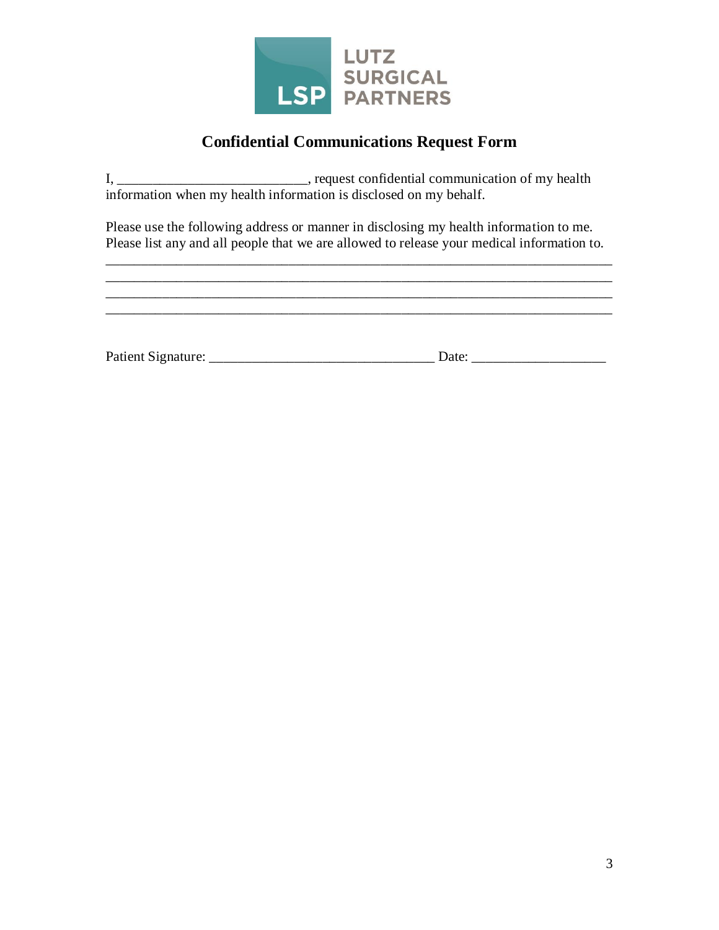

# **Confidential Communications Request Form**

I, \_\_\_\_\_\_\_\_\_\_\_\_\_\_\_\_\_\_\_\_\_\_\_\_\_\_\_\_, request confidential communication of my health information when my health information is disclosed on my behalf.

Please use the following address or manner in disclosing my health information to me. Please list any and all people that we are allowed to release your medical information to.

\_\_\_\_\_\_\_\_\_\_\_\_\_\_\_\_\_\_\_\_\_\_\_\_\_\_\_\_\_\_\_\_\_\_\_\_\_\_\_\_\_\_\_\_\_\_\_\_\_\_\_\_\_\_\_\_\_\_\_\_\_\_\_\_\_\_\_\_\_\_\_\_ \_\_\_\_\_\_\_\_\_\_\_\_\_\_\_\_\_\_\_\_\_\_\_\_\_\_\_\_\_\_\_\_\_\_\_\_\_\_\_\_\_\_\_\_\_\_\_\_\_\_\_\_\_\_\_\_\_\_\_\_\_\_\_\_\_\_\_\_\_\_\_\_

| Patient Signature: | Date: |
|--------------------|-------|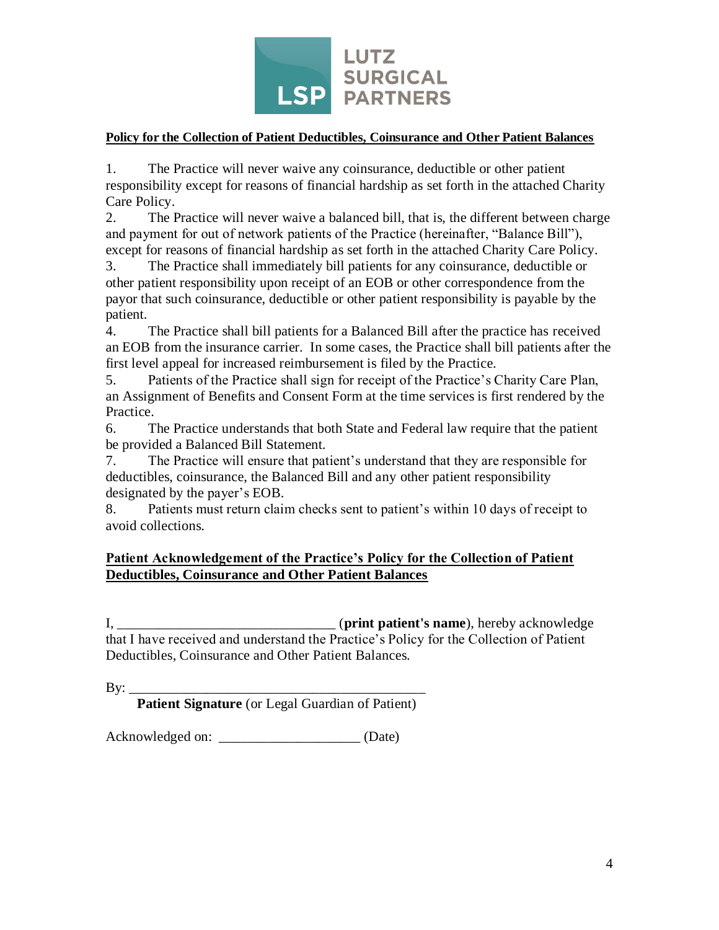

#### **Policy for the Collection of Patient Deductibles, Coinsurance and Other Patient Balances**

1. The Practice will never waive any coinsurance, deductible or other patient responsibility except for reasons of financial hardship as set forth in the attached Charity Care Policy.

2. The Practice will never waive a balanced bill, that is, the different between charge and payment for out of network patients of the Practice (hereinafter, "Balance Bill"), except for reasons of financial hardship as set forth in the attached Charity Care Policy.

3. The Practice shall immediately bill patients for any coinsurance, deductible or other patient responsibility upon receipt of an EOB or other correspondence from the payor that such coinsurance, deductible or other patient responsibility is payable by the patient.

4. The Practice shall bill patients for a Balanced Bill after the practice has received an EOB from the insurance carrier. In some cases, the Practice shall bill patients after the first level appeal for increased reimbursement is filed by the Practice.

5. Patients of the Practice shall sign for receipt of the Practice's Charity Care Plan, an Assignment of Benefits and Consent Form at the time services is first rendered by the Practice.

6. The Practice understands that both State and Federal law require that the patient be provided a Balanced Bill Statement.

7. The Practice will ensure that patient's understand that they are responsible for deductibles, coinsurance, the Balanced Bill and any other patient responsibility designated by the payer's EOB.

8. Patients must return claim checks sent to patient's within 10 days of receipt to avoid collections.

## **Patient Acknowledgement of the Practice's Policy for the Collection of Patient Deductibles, Coinsurance and Other Patient Balances**

I, \_\_\_\_\_\_\_\_\_\_\_\_\_\_\_\_\_\_\_\_\_\_\_\_\_\_\_\_\_\_\_ (**print patient's name**), hereby acknowledge that I have received and understand the Practice's Policy for the Collection of Patient Deductibles, Coinsurance and Other Patient Balances.

 $By: \_\_$ **Patient Signature** (or Legal Guardian of Patient)

Acknowledged on: \_\_\_\_\_\_\_\_\_\_\_\_\_\_\_\_\_\_\_\_ (Date)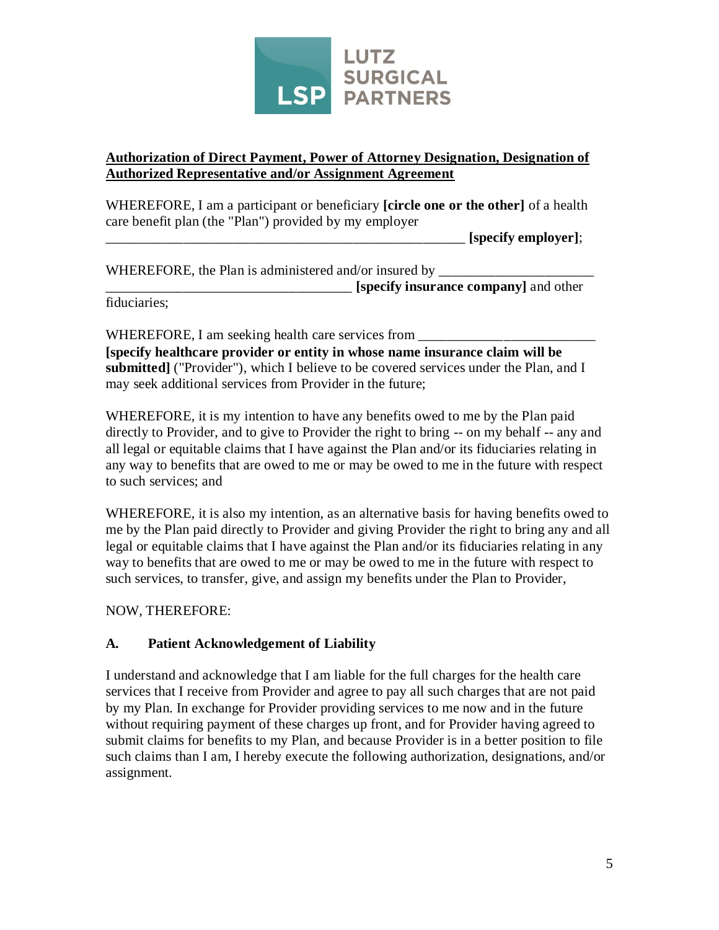

## **Authorization of Direct Payment, Power of Attorney Designation, Designation of Authorized Representative and/or Assignment Agreement**

WHEREFORE, I am a participant or beneficiary **[circle one or the other]** of a health care benefit plan (the "Plan") provided by my employer

\_\_\_\_\_\_\_\_\_\_\_\_\_\_\_\_\_\_\_\_\_\_\_\_\_\_\_\_\_\_\_\_\_\_\_\_\_\_\_\_\_\_\_\_\_\_\_\_\_\_\_ **[specify employer]**;

WHEREFORE, the Plan is administered and/or insured by \_\_\_\_\_\_\_\_\_\_\_\_\_\_\_\_\_\_\_\_\_\_\_\_\_\_\_

**[specify insurance company]** and other

fiduciaries;

WHEREFORE, I am seeking health care services from \_\_\_\_\_\_\_\_\_\_\_\_\_\_\_\_\_\_\_\_\_\_\_\_\_\_\_\_\_\_\_ **[specify healthcare provider or entity in whose name insurance claim will be**  submitted] ("Provider"), which I believe to be covered services under the Plan, and I may seek additional services from Provider in the future;

WHEREFORE, it is my intention to have any benefits owed to me by the Plan paid directly to Provider, and to give to Provider the right to bring -- on my behalf -- any and all legal or equitable claims that I have against the Plan and/or its fiduciaries relating in any way to benefits that are owed to me or may be owed to me in the future with respect to such services; and

WHEREFORE, it is also my intention, as an alternative basis for having benefits owed to me by the Plan paid directly to Provider and giving Provider the right to bring any and all legal or equitable claims that I have against the Plan and/or its fiduciaries relating in any way to benefits that are owed to me or may be owed to me in the future with respect to such services, to transfer, give, and assign my benefits under the Plan to Provider,

NOW, THEREFORE:

# **A. Patient Acknowledgement of Liability**

I understand and acknowledge that I am liable for the full charges for the health care services that I receive from Provider and agree to pay all such charges that are not paid by my Plan. In exchange for Provider providing services to me now and in the future without requiring payment of these charges up front, and for Provider having agreed to submit claims for benefits to my Plan, and because Provider is in a better position to file such claims than I am, I hereby execute the following authorization, designations, and/or assignment.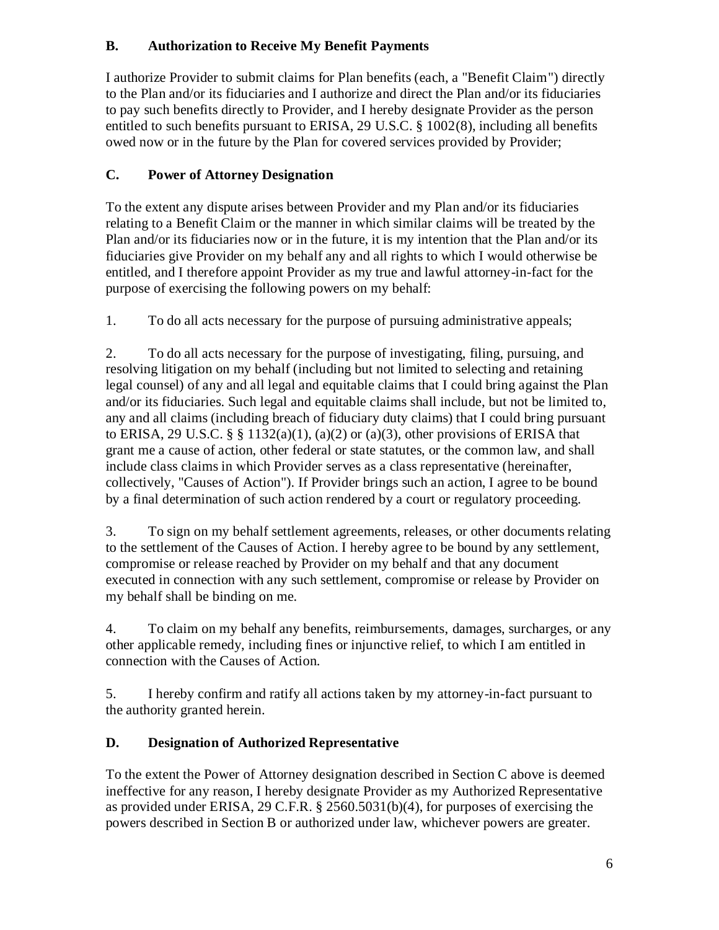# **B. Authorization to Receive My Benefit Payments**

I authorize Provider to submit claims for Plan benefits (each, a "Benefit Claim") directly to the Plan and/or its fiduciaries and I authorize and direct the Plan and/or its fiduciaries to pay such benefits directly to Provider, and I hereby designate Provider as the person entitled to such benefits pursuant to ERISA, 29 U.S.C. § 1002(8), including all benefits owed now or in the future by the Plan for covered services provided by Provider;

# **C. Power of Attorney Designation**

To the extent any dispute arises between Provider and my Plan and/or its fiduciaries relating to a Benefit Claim or the manner in which similar claims will be treated by the Plan and/or its fiduciaries now or in the future, it is my intention that the Plan and/or its fiduciaries give Provider on my behalf any and all rights to which I would otherwise be entitled, and I therefore appoint Provider as my true and lawful attorney-in-fact for the purpose of exercising the following powers on my behalf:

1. To do all acts necessary for the purpose of pursuing administrative appeals;

2. To do all acts necessary for the purpose of investigating, filing, pursuing, and resolving litigation on my behalf (including but not limited to selecting and retaining legal counsel) of any and all legal and equitable claims that I could bring against the Plan and/or its fiduciaries. Such legal and equitable claims shall include, but not be limited to, any and all claims (including breach of fiduciary duty claims) that I could bring pursuant to ERISA, 29 U.S.C. § § 1132(a)(1), (a)(2) or (a)(3), other provisions of ERISA that grant me a cause of action, other federal or state statutes, or the common law, and shall include class claims in which Provider serves as a class representative (hereinafter, collectively, "Causes of Action"). If Provider brings such an action, I agree to be bound by a final determination of such action rendered by a court or regulatory proceeding.

3. To sign on my behalf settlement agreements, releases, or other documents relating to the settlement of the Causes of Action. I hereby agree to be bound by any settlement, compromise or release reached by Provider on my behalf and that any document executed in connection with any such settlement, compromise or release by Provider on my behalf shall be binding on me.

4. To claim on my behalf any benefits, reimbursements, damages, surcharges, or any other applicable remedy, including fines or injunctive relief, to which I am entitled in connection with the Causes of Action.

5. I hereby confirm and ratify all actions taken by my attorney-in-fact pursuant to the authority granted herein.

# **D. Designation of Authorized Representative**

To the extent the Power of Attorney designation described in Section C above is deemed ineffective for any reason, I hereby designate Provider as my Authorized Representative as provided under ERISA, 29 C.F.R. § 2560.5031(b)(4), for purposes of exercising the powers described in Section B or authorized under law, whichever powers are greater.